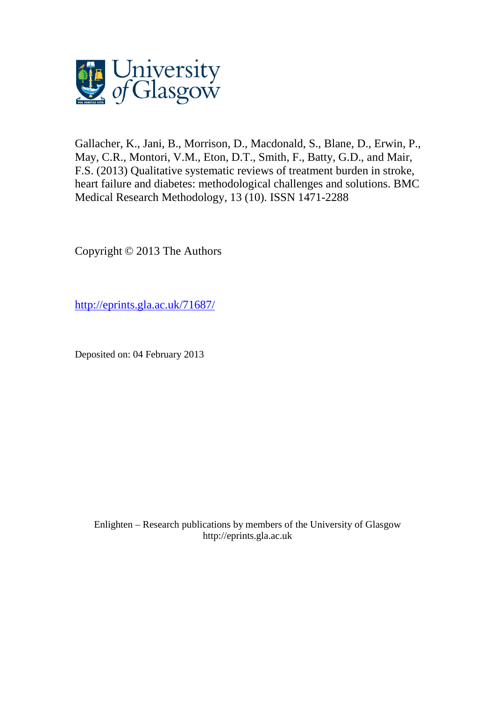

Gallacher, K., Jani, B., Morrison, D., Macdonald, S., Blane, D., Erwin, P., May, C.R., Montori, V.M., Eton, D.T., Smith, F., Batty, G.D., and Mair, F.S. (2013) Qualitative systematic reviews of treatment burden in stroke, heart failure and diabetes: methodological challenges and solutions. BMC Medical Research Methodology, 13 (10). ISSN 1471-2288

Copyright © 2013 The Authors

[http://eprints.gla.ac.uk/71687/](http://eprints.gla.ac.uk/66730/)

Deposited on: 04 February 2013

Enlighten – Research publications by members of the University of Glasgo[w](http://eprints.gla.ac.uk/) [http://eprints.gla.ac.uk](http://eprints.gla.ac.uk/)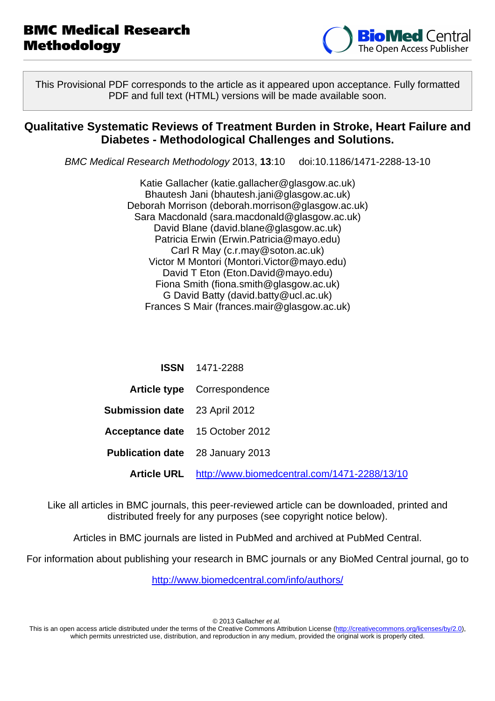

This Provisional PDF corresponds to the article as it appeared upon acceptance. Fully formatted PDF and full text (HTML) versions will be made available soon.

# **Qualitative Systematic Reviews of Treatment Burden in Stroke, Heart Failure and Diabetes - Methodological Challenges and Solutions.**

BMC Medical Research Methodology 2013, **13**:10 doi:10.1186/1471-2288-13-10

Katie Gallacher ([katie.gallacher@glasgow.ac.uk](mailto:katie.gallacher@glasgow.ac.uk)) Bhautesh Jani ([bhautesh.jani@glasgow.ac.uk](mailto:bhautesh.jani@glasgow.ac.uk)) Deborah Morrison [\(deborah.morrison@glasgow.ac.uk](mailto:deborah.morrison@glasgow.ac.uk)) Sara Macdonald [\(sara.macdonald@glasgow.ac.uk\)](mailto:sara.macdonald@glasgow.ac.uk) David Blane ([david.blane@glasgow.ac.uk](mailto:david.blane@glasgow.ac.uk)) Patricia Erwin ([Erwin.Patricia@mayo.edu](mailto:Erwin.Patricia@mayo.edu)) Carl R May ([c.r.may@soton.ac.uk\)](mailto:c.r.may@soton.ac.uk) Victor M Montori ([Montori.Victor@mayo.edu](mailto:Montori.Victor@mayo.edu)) David T Eton [\(Eton.David@mayo.edu\)](mailto:Eton.David@mayo.edu) Fiona Smith [\(fiona.smith@glasgow.ac.uk](mailto:fiona.smith@glasgow.ac.uk)) G David Batty ([david.batty@ucl.ac.uk](mailto:david.batty@ucl.ac.uk)) Frances S Mair ([frances.mair@glasgow.ac.uk](mailto:frances.mair@glasgow.ac.uk))

|                                      | <b>ISSN</b> 1471-2288                                    |  |  |
|--------------------------------------|----------------------------------------------------------|--|--|
|                                      | <b>Article type</b> Correspondence                       |  |  |
| <b>Submission date</b> 23 April 2012 |                                                          |  |  |
| Acceptance date 15 October 2012      |                                                          |  |  |
|                                      | <b>Publication date</b> 28 January 2013                  |  |  |
|                                      | Article URL http://www.biomedcentral.com/1471-2288/13/10 |  |  |

Like all articles in BMC journals, this peer-reviewed article can be downloaded, printed and distributed freely for any purposes (see copyright notice below).

Articles in BMC journals are listed in PubMed and archived at PubMed Central.

For information about publishing your research in BMC journals or any BioMed Central journal, go to

<http://www.biomedcentral.com/info/authors/>

© 2013 Gallacher et al.

This is an open access article distributed under the terms of the Creative Commons Attribution License [\(http://creativecommons.org/licenses/by/2.0](http://creativecommons.org/licenses/by/2.0)), which permits unrestricted use, distribution, and reproduction in any medium, provided the original work is properly cited.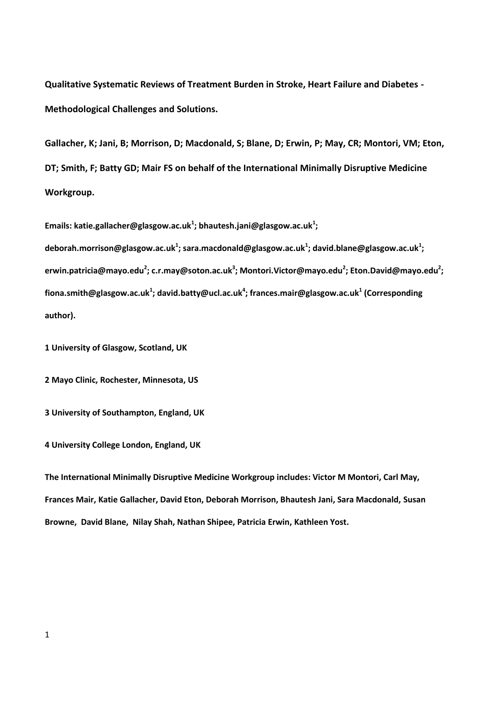**Qualitative Systematic Reviews of Treatment Burden in Stroke, Heart Failure and Diabetes - Methodological Challenges and Solutions.**

**Gallacher, K; Jani, B; Morrison, D; Macdonald, S; Blane, D; Erwin, P; May, CR; Montori, VM; Eton, DT; Smith, F; Batty GD; Mair FS on behalf of the International Minimally Disruptive Medicine Workgroup.**

**Emails: [katie.gallacher@glasgow.ac.uk](mailto:katie.gallacher@glasgow.ac.uk)<sup>1</sup> ; [bhautesh.jani@glasgow.ac.uk](mailto:bhautesh.jani@glasgow.ac.uk)<sup>1</sup> ;** 

**[deborah.morrison@glasgow.ac.uk](mailto:deborah.morrison@glasgow.ac.uk)<sup>1</sup> ; [sara.macdonald@glasgow.ac.uk](mailto:sara.macdonald@glasgow.ac.uk)<sup>1</sup> ; [david.blane@glasgow.ac.uk](mailto:david.blane@glasgow.ac.uk)<sup>1</sup> ; [erwin.patricia@mayo.edu](mailto:erwin.patricia@mayo.edu)<sup>2</sup> ; [c.r.may@soton.ac.uk](mailto:c.r.may@soton.ac.uk)<sup>3</sup> ; [Montori.Victor@mayo.edu](mailto:Montori.Victor@mayo.edu)<sup>2</sup> ; [Eton.David@mayo.edu](mailto:Eton.David@mayo.edu)<sup>2</sup> ; [fiona.smith@glasgow.ac.uk](mailto:fiona.smith@glasgow.ac.uk)<sup>1</sup> ; [david.batty@ucl.ac.uk](mailto:david.batty@ucl.ac.uk)<sup>4</sup> [; frances.mair@glasgow.ac.uk](mailto:frances.mair@glasgow.ac.uk1)<sup>1</sup> (Corresponding author).**

**1 University of Glasgow, Scotland, UK**

**2 Mayo Clinic, Rochester, Minnesota, US**

**3 University of Southampton, England, UK**

**4 University College London, England, UK**

**The International Minimally Disruptive Medicine Workgroup includes: Victor M Montori, Carl May, Frances Mair, Katie Gallacher, David Eton, Deborah Morrison, Bhautesh Jani, Sara Macdonald, Susan Browne, David Blane, Nilay Shah, Nathan Shipee, Patricia Erwin, Kathleen Yost.**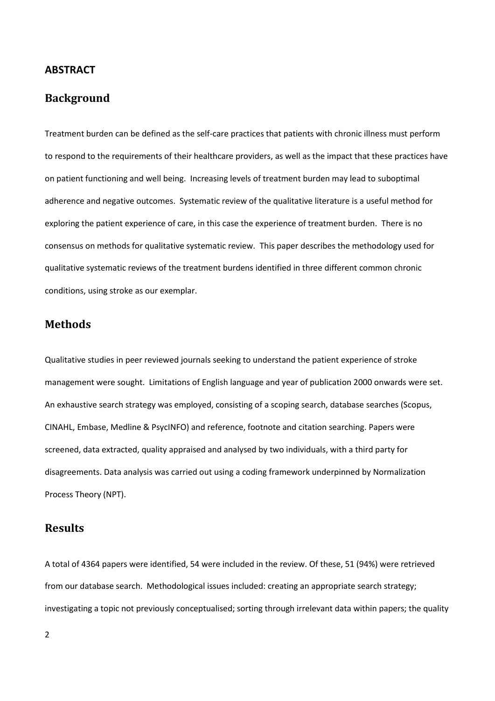### **ABSTRACT**

# **Background**

Treatment burden can be defined as the self-care practices that patients with chronic illness must perform to respond to the requirements of their healthcare providers, as well as the impact that these practices have on patient functioning and well being. Increasing levels of treatment burden may lead to suboptimal adherence and negative outcomes. Systematic review of the qualitative literature is a useful method for exploring the patient experience of care, in this case the experience of treatment burden. There is no consensus on methods for qualitative systematic review. This paper describes the methodology used for qualitative systematic reviews of the treatment burdens identified in three different common chronic conditions, using stroke as our exemplar.

# **Methods**

Qualitative studies in peer reviewed journals seeking to understand the patient experience of stroke management were sought. Limitations of English language and year of publication 2000 onwards were set. An exhaustive search strategy was employed, consisting of a scoping search, database searches (Scopus, CINAHL, Embase, Medline & PsycINFO) and reference, footnote and citation searching. Papers were screened, data extracted, quality appraised and analysed by two individuals, with a third party for disagreements. Data analysis was carried out using a coding framework underpinned by Normalization Process Theory (NPT).

# **Results**

A total of 4364 papers were identified, 54 were included in the review. Of these, 51 (94%) were retrieved from our database search. Methodological issues included: creating an appropriate search strategy; investigating a topic not previously conceptualised; sorting through irrelevant data within papers; the quality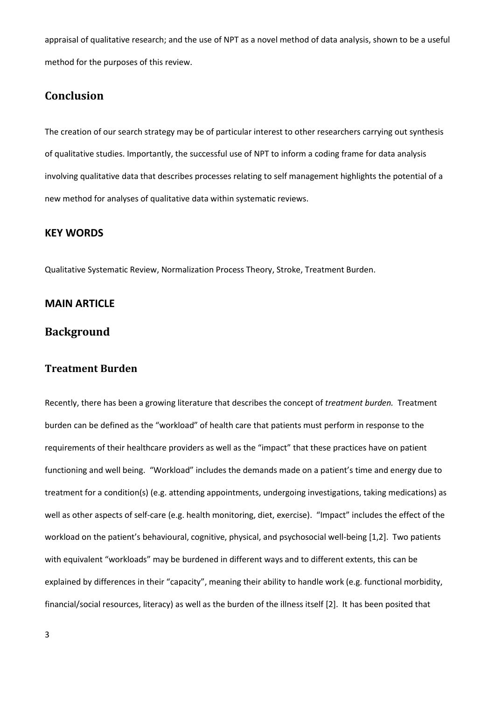appraisal of qualitative research; and the use of NPT as a novel method of data analysis, shown to be a useful method for the purposes of this review.

# **Conclusion**

The creation of our search strategy may be of particular interest to other researchers carrying out synthesis of qualitative studies. Importantly, the successful use of NPT to inform a coding frame for data analysis involving qualitative data that describes processes relating to self management highlights the potential of a new method for analyses of qualitative data within systematic reviews.

# **KEY WORDS**

Qualitative Systematic Review, Normalization Process Theory, Stroke, Treatment Burden.

#### **MAIN ARTICLE**

# **Background**

## **Treatment Burden**

Recently, there has been a growing literature that describes the concept of *treatment burden.* Treatment burden can be defined as the "workload" of health care that patients must perform in response to the requirements of their healthcare providers as well as the "impact" that these practices have on patient functioning and well being. "Workload" includes the demands made on a patient's time and energy due to treatment for a condition(s) (e.g. attending appointments, undergoing investigations, taking medications) as well as other aspects of self-care (e.g. health monitoring, diet, exercise). "Impact" includes the effect of the workload on the patient's behavioural, cognitive, physical, and psychosocial well-being [1,2]. Two patients with equivalent "workloads" may be burdened in different ways and to different extents, this can be explained by differences in their "capacity", meaning their ability to handle work (e.g. functional morbidity, financial/social resources, literacy) as well as the burden of the illness itself [2]. It has been posited that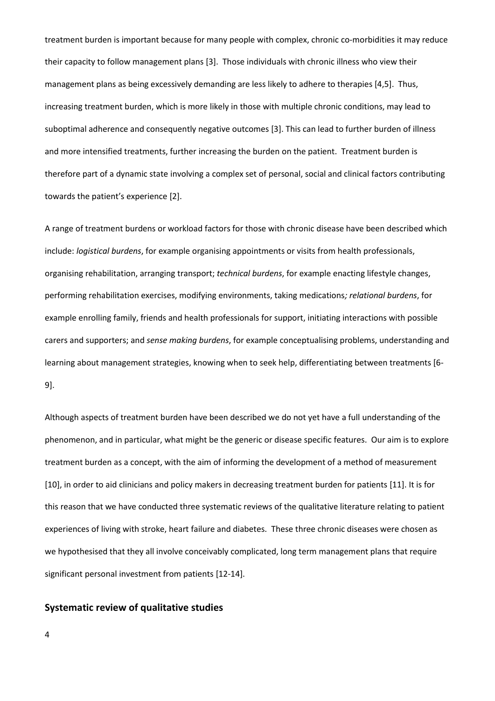treatment burden is important because for many people with complex, chronic co-morbidities it may reduce their capacity to follow management plans [3]. Those individuals with chronic illness who view their management plans as being excessively demanding are less likely to adhere to therapies [4,5]. Thus, increasing treatment burden, which is more likely in those with multiple chronic conditions, may lead to suboptimal adherence and consequently negative outcomes [3]. This can lead to further burden of illness and more intensified treatments, further increasing the burden on the patient. Treatment burden is therefore part of a dynamic state involving a complex set of personal, social and clinical factors contributing towards the patient's experience [2].

A range of treatment burdens or workload factors for those with chronic disease have been described which include: *logistical burdens*, for example organising appointments or visits from health professionals, organising rehabilitation, arranging transport; *technical burdens*, for example enacting lifestyle changes, performing rehabilitation exercises, modifying environments, taking medications*; relational burdens*, for example enrolling family, friends and health professionals for support, initiating interactions with possible carers and supporters; and *sense making burdens*, for example conceptualising problems, understanding and learning about management strategies, knowing when to seek help, differentiating between treatments [6- 9].

Although aspects of treatment burden have been described we do not yet have a full understanding of the phenomenon, and in particular, what might be the generic or disease specific features. Our aim is to explore treatment burden as a concept, with the aim of informing the development of a method of measurement [10], in order to aid clinicians and policy makers in decreasing treatment burden for patients [11]. It is for this reason that we have conducted three systematic reviews of the qualitative literature relating to patient experiences of living with stroke, heart failure and diabetes. These three chronic diseases were chosen as we hypothesised that they all involve conceivably complicated, long term management plans that require significant personal investment from patients [12-14].

## **Systematic review of qualitative studies**

4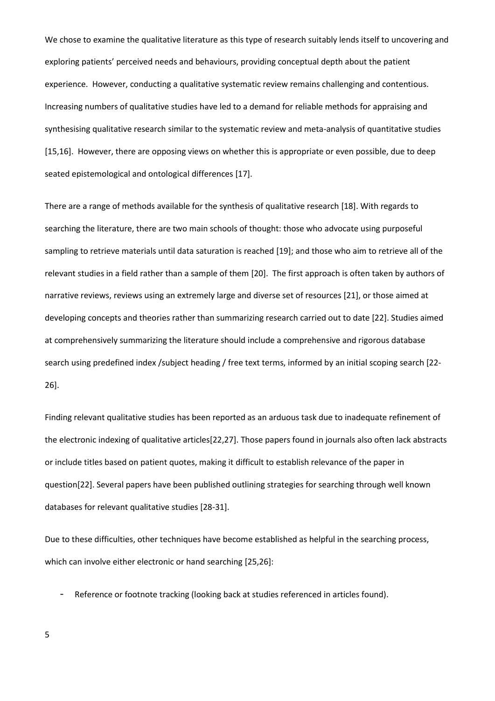We chose to examine the qualitative literature as this type of research suitably lends itself to uncovering and exploring patients' perceived needs and behaviours, providing conceptual depth about the patient experience. However, conducting a qualitative systematic review remains challenging and contentious. Increasing numbers of qualitative studies have led to a demand for reliable methods for appraising and synthesising qualitative research similar to the systematic review and meta-analysis of quantitative studies [15,16]. However, there are opposing views on whether this is appropriate or even possible, due to deep seated epistemological and ontological differences [17].

There are a range of methods available for the synthesis of qualitative research [18]. With regards to searching the literature, there are two main schools of thought: those who advocate using purposeful sampling to retrieve materials until data saturation is reached [19]; and those who aim to retrieve all of the relevant studies in a field rather than a sample of them [20]. The first approach is often taken by authors of narrative reviews, reviews using an extremely large and diverse set of resources [21], or those aimed at developing concepts and theories rather than summarizing research carried out to date [22]. Studies aimed at comprehensively summarizing the literature should include a comprehensive and rigorous database search using predefined index /subject heading / free text terms, informed by an initial scoping search [22- 26].

Finding relevant qualitative studies has been reported as an arduous task due to inadequate refinement of the electronic indexing of qualitative articles[22,27]. Those papers found in journals also often lack abstracts or include titles based on patient quotes, making it difficult to establish relevance of the paper in question[22]. Several papers have been published outlining strategies for searching through well known databases for relevant qualitative studies [28-31].

Due to these difficulties, other techniques have become established as helpful in the searching process, which can involve either electronic or hand searching [25,26]:

- Reference or footnote tracking (looking back at studies referenced in articles found).
- 5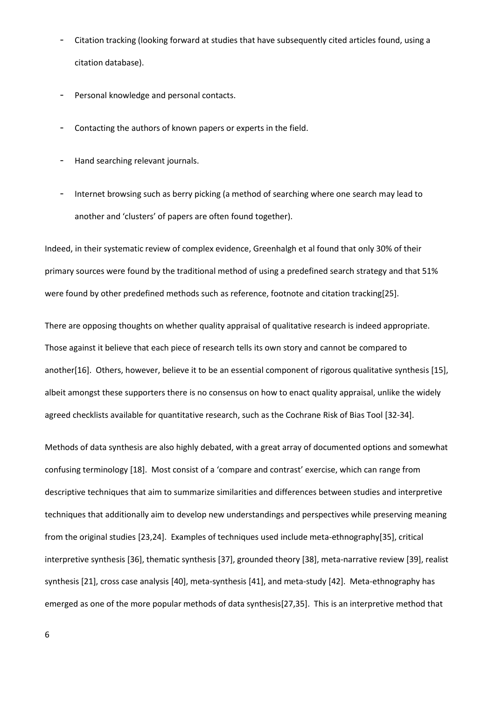- Citation tracking (looking forward at studies that have subsequently cited articles found, using a citation database).
- Personal knowledge and personal contacts.
- Contacting the authors of known papers or experts in the field.
- Hand searching relevant journals.
- Internet browsing such as berry picking (a method of searching where one search may lead to another and 'clusters' of papers are often found together).

Indeed, in their systematic review of complex evidence, Greenhalgh et al found that only 30% of their primary sources were found by the traditional method of using a predefined search strategy and that 51% were found by other predefined methods such as reference, footnote and citation tracking[25].

There are opposing thoughts on whether quality appraisal of qualitative research is indeed appropriate. Those against it believe that each piece of research tells its own story and cannot be compared to another[16]. Others, however, believe it to be an essential component of rigorous qualitative synthesis [15], albeit amongst these supporters there is no consensus on how to enact quality appraisal, unlike the widely agreed checklists available for quantitative research, such as the Cochrane Risk of Bias Tool [32-34].

Methods of data synthesis are also highly debated, with a great array of documented options and somewhat confusing terminology [18]. Most consist of a 'compare and contrast' exercise, which can range from descriptive techniques that aim to summarize similarities and differences between studies and interpretive techniques that additionally aim to develop new understandings and perspectives while preserving meaning from the original studies [23,24]. Examples of techniques used include meta-ethnography[35], critical interpretive synthesis [36], thematic synthesis [37], grounded theory [38], meta-narrative review [39], realist synthesis [21], cross case analysis [40], meta-synthesis [41], and meta-study [42]. Meta-ethnography has emerged as one of the more popular methods of data synthesis[27,35]. This is an interpretive method that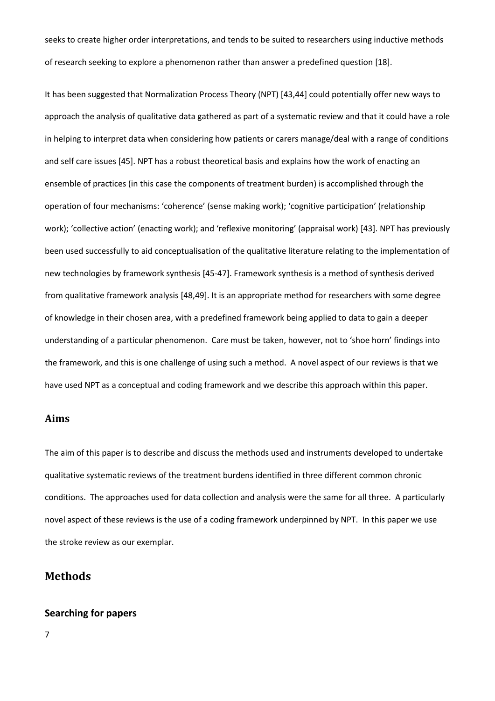seeks to create higher order interpretations, and tends to be suited to researchers using inductive methods of research seeking to explore a phenomenon rather than answer a predefined question [18].

It has been suggested that Normalization Process Theory (NPT) [43,44] could potentially offer new ways to approach the analysis of qualitative data gathered as part of a systematic review and that it could have a role in helping to interpret data when considering how patients or carers manage/deal with a range of conditions and self care issues [45]. NPT has a robust theoretical basis and explains how the work of enacting an ensemble of practices (in this case the components of treatment burden) is accomplished through the operation of four mechanisms: 'coherence' (sense making work); 'cognitive participation' (relationship work); 'collective action' (enacting work); and 'reflexive monitoring' (appraisal work) [43]. NPT has previously been used successfully to aid conceptualisation of the qualitative literature relating to the implementation of new technologies by framework synthesis [45-47]. Framework synthesis is a method of synthesis derived from qualitative framework analysis [48,49]. It is an appropriate method for researchers with some degree of knowledge in their chosen area, with a predefined framework being applied to data to gain a deeper understanding of a particular phenomenon. Care must be taken, however, not to 'shoe horn' findings into the framework, and this is one challenge of using such a method. A novel aspect of our reviews is that we have used NPT as a conceptual and coding framework and we describe this approach within this paper.

### **Aims**

The aim of this paper is to describe and discuss the methods used and instruments developed to undertake qualitative systematic reviews of the treatment burdens identified in three different common chronic conditions. The approaches used for data collection and analysis were the same for all three. A particularly novel aspect of these reviews is the use of a coding framework underpinned by NPT. In this paper we use the stroke review as our exemplar.

## **Methods**

### **Searching for papers**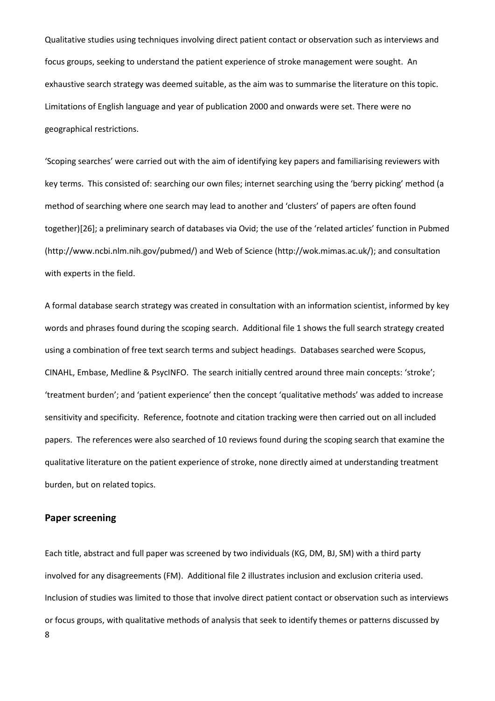Qualitative studies using techniques involving direct patient contact or observation such as interviews and focus groups, seeking to understand the patient experience of stroke management were sought. An exhaustive search strategy was deemed suitable, as the aim was to summarise the literature on this topic. Limitations of English language and year of publication 2000 and onwards were set. There were no geographical restrictions.

'Scoping searches' were carried out with the aim of identifying key papers and familiarising reviewers with key terms. This consisted of: searching our own files; internet searching using the 'berry picking' method (a method of searching where one search may lead to another and 'clusters' of papers are often found together)[26]; a preliminary search of databases via Ovid; the use of the 'related articles' function in Pubmed [\(http://www.ncbi.nlm.nih.gov/pubmed/\)](http://www.ncbi.nlm.nih.gov/pubmed/) and Web of Science (http://wok.mimas.ac.uk/); and consultation with experts in the field.

A formal database search strategy was created in consultation with an information scientist, informed by key words and phrases found during the scoping search. Additional file 1 shows the full search strategy created using a combination of free text search terms and subject headings. Databases searched were Scopus, CINAHL, Embase, Medline & PsycINFO. The search initially centred around three main concepts: 'stroke'; 'treatment burden'; and 'patient experience' then the concept 'qualitative methods' was added to increase sensitivity and specificity. Reference, footnote and citation tracking were then carried out on all included papers. The references were also searched of 10 reviews found during the scoping search that examine the qualitative literature on the patient experience of stroke, none directly aimed at understanding treatment burden, but on related topics.

#### **Paper screening**

8 Each title, abstract and full paper was screened by two individuals (KG, DM, BJ, SM) with a third party involved for any disagreements (FM). Additional file 2 illustrates inclusion and exclusion criteria used. Inclusion of studies was limited to those that involve direct patient contact or observation such as interviews or focus groups, with qualitative methods of analysis that seek to identify themes or patterns discussed by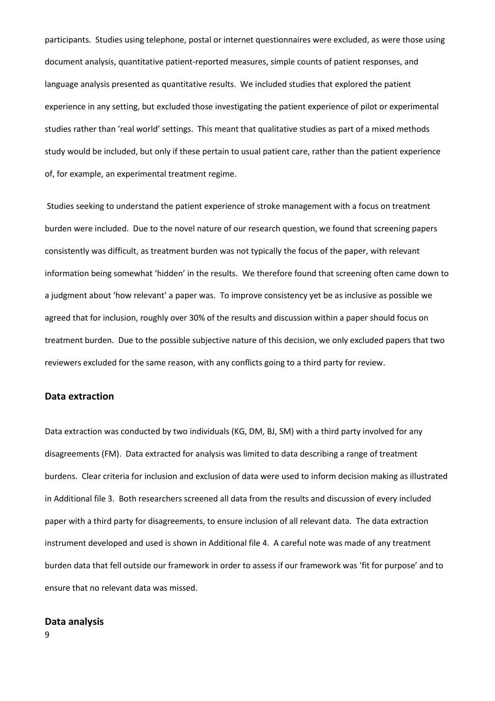participants. Studies using telephone, postal or internet questionnaires were excluded, as were those using document analysis, quantitative patient-reported measures, simple counts of patient responses, and language analysis presented as quantitative results. We included studies that explored the patient experience in any setting, but excluded those investigating the patient experience of pilot or experimental studies rather than 'real world' settings. This meant that qualitative studies as part of a mixed methods study would be included, but only if these pertain to usual patient care, rather than the patient experience of, for example, an experimental treatment regime.

Studies seeking to understand the patient experience of stroke management with a focus on treatment burden were included. Due to the novel nature of our research question, we found that screening papers consistently was difficult, as treatment burden was not typically the focus of the paper, with relevant information being somewhat 'hidden' in the results. We therefore found that screening often came down to a judgment about 'how relevant' a paper was. To improve consistency yet be as inclusive as possible we agreed that for inclusion, roughly over 30% of the results and discussion within a paper should focus on treatment burden. Due to the possible subjective nature of this decision, we only excluded papers that two reviewers excluded for the same reason, with any conflicts going to a third party for review.

## **Data extraction**

Data extraction was conducted by two individuals (KG, DM, BJ, SM) with a third party involved for any disagreements (FM). Data extracted for analysis was limited to data describing a range of treatment burdens. Clear criteria for inclusion and exclusion of data were used to inform decision making as illustrated in Additional file 3. Both researchers screened all data from the results and discussion of every included paper with a third party for disagreements, to ensure inclusion of all relevant data. The data extraction instrument developed and used is shown in Additional file 4. A careful note was made of any treatment burden data that fell outside our framework in order to assess if our framework was 'fit for purpose' and to ensure that no relevant data was missed.

#### **Data analysis**

9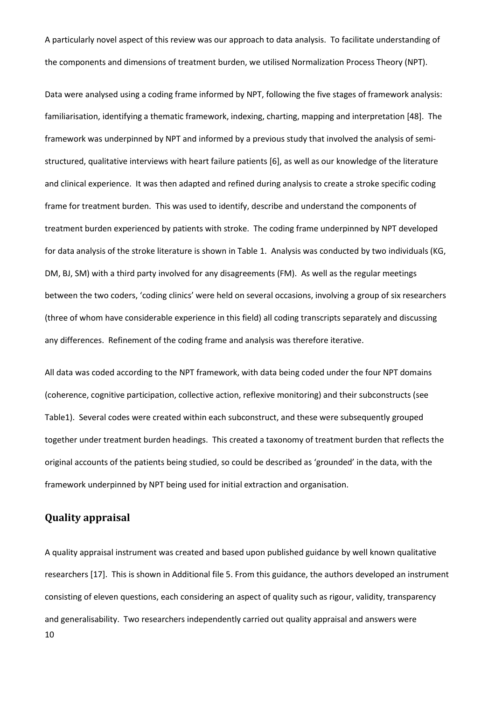A particularly novel aspect of this review was our approach to data analysis. To facilitate understanding of the components and dimensions of treatment burden, we utilised Normalization Process Theory (NPT).

Data were analysed using a coding frame informed by NPT, following the five stages of framework analysis: familiarisation, identifying a thematic framework, indexing, charting, mapping and interpretation [48]. The framework was underpinned by NPT and informed by a previous study that involved the analysis of semistructured, qualitative interviews with heart failure patients [6], as well as our knowledge of the literature and clinical experience. It was then adapted and refined during analysis to create a stroke specific coding frame for treatment burden. This was used to identify, describe and understand the components of treatment burden experienced by patients with stroke. The coding frame underpinned by NPT developed for data analysis of the stroke literature is shown in Table 1. Analysis was conducted by two individuals (KG, DM, BJ, SM) with a third party involved for any disagreements (FM). As well as the regular meetings between the two coders, 'coding clinics' were held on several occasions, involving a group of six researchers (three of whom have considerable experience in this field) all coding transcripts separately and discussing any differences. Refinement of the coding frame and analysis was therefore iterative.

All data was coded according to the NPT framework, with data being coded under the four NPT domains (coherence, cognitive participation, collective action, reflexive monitoring) and their subconstructs (see Table1). Several codes were created within each subconstruct, and these were subsequently grouped together under treatment burden headings. This created a taxonomy of treatment burden that reflects the original accounts of the patients being studied, so could be described as 'grounded' in the data, with the framework underpinned by NPT being used for initial extraction and organisation.

# **Quality appraisal**

10 A quality appraisal instrument was created and based upon published guidance by well known qualitative researchers [17]. This is shown in Additional file 5. From this guidance, the authors developed an instrument consisting of eleven questions, each considering an aspect of quality such as rigour, validity, transparency and generalisability. Two researchers independently carried out quality appraisal and answers were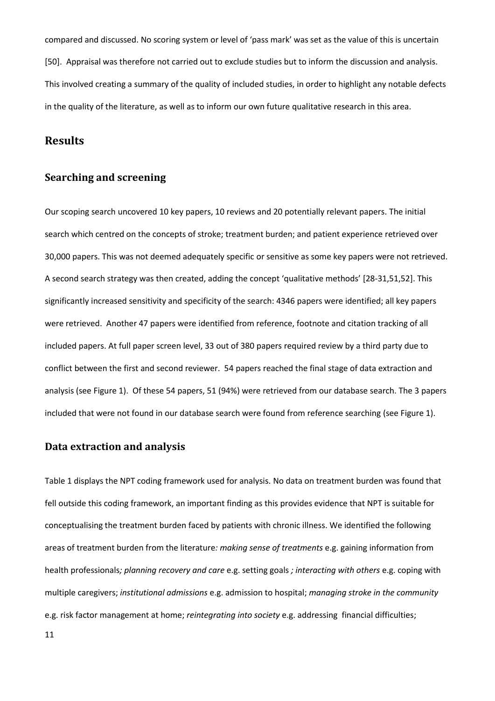compared and discussed. No scoring system or level of 'pass mark' was set as the value of this is uncertain [50]. Appraisal was therefore not carried out to exclude studies but to inform the discussion and analysis. This involved creating a summary of the quality of included studies, in order to highlight any notable defects in the quality of the literature, as well as to inform our own future qualitative research in this area.

# **Results**

## **Searching and screening**

Our scoping search uncovered 10 key papers, 10 reviews and 20 potentially relevant papers. The initial search which centred on the concepts of stroke; treatment burden; and patient experience retrieved over 30,000 papers. This was not deemed adequately specific or sensitive as some key papers were not retrieved. A second search strategy was then created, adding the concept 'qualitative methods' [28-31,51,52]. This significantly increased sensitivity and specificity of the search: 4346 papers were identified; all key papers were retrieved. Another 47 papers were identified from reference, footnote and citation tracking of all included papers. At full paper screen level, 33 out of 380 papers required review by a third party due to conflict between the first and second reviewer. 54 papers reached the final stage of data extraction and analysis (see Figure 1). Of these 54 papers, 51 (94%) were retrieved from our database search. The 3 papers included that were not found in our database search were found from reference searching (see Figure 1).

#### **Data extraction and analysis**

Table 1 displays the NPT coding framework used for analysis. No data on treatment burden was found that fell outside this coding framework, an important finding as this provides evidence that NPT is suitable for conceptualising the treatment burden faced by patients with chronic illness. We identified the following areas of treatment burden from the literature*: making sense of treatments* e.g. gaining information from health professionals*; planning recovery and care* e.g. setting goals *; interacting with others* e.g. coping with multiple caregivers; *institutional admissions* e.g. admission to hospital; *managing stroke in the community* e.g. risk factor management at home; *reintegrating into society* e.g. addressing financial difficulties;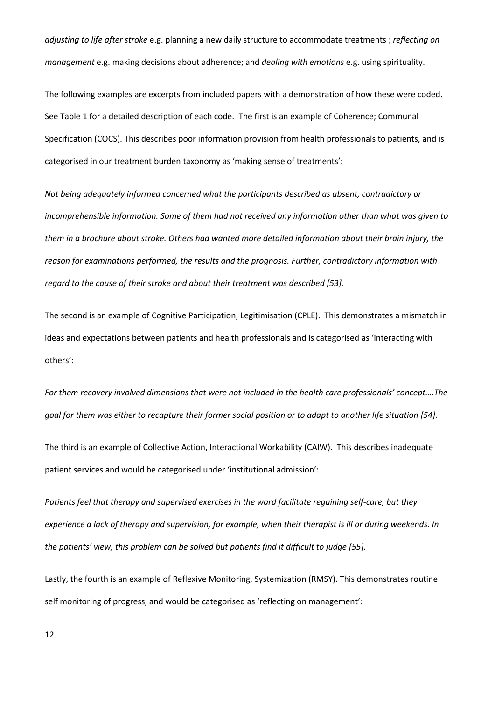*adjusting to life after stroke* e.g. planning a new daily structure to accommodate treatments ; *reflecting on management* e.g. making decisions about adherence; and *dealing with emotions* e.g. using spirituality.

The following examples are excerpts from included papers with a demonstration of how these were coded. See Table 1 for a detailed description of each code. The first is an example of Coherence; Communal Specification (COCS). This describes poor information provision from health professionals to patients, and is categorised in our treatment burden taxonomy as 'making sense of treatments':

*Not being adequately informed concerned what the participants described as absent, contradictory or incomprehensible information. Some of them had not received any information other than what was given to them in a brochure about stroke. Others had wanted more detailed information about their brain injury, the reason for examinations performed, the results and the prognosis. Further, contradictory information with regard to the cause of their stroke and about their treatment was described [53].*

The second is an example of Cognitive Participation; Legitimisation (CPLE). This demonstrates a mismatch in ideas and expectations between patients and health professionals and is categorised as 'interacting with others':

*For them recovery involved dimensions that were not included in the health care professionals' concept….The goal for them was either to recapture their former social position or to adapt to another life situation [54].*

The third is an example of Collective Action, Interactional Workability (CAIW). This describes inadequate patient services and would be categorised under 'institutional admission':

*Patients feel that therapy and supervised exercises in the ward facilitate regaining self-care, but they experience a lack of therapy and supervision, for example, when their therapist is ill or during weekends. In the patients' view, this problem can be solved but patients find it difficult to judge [55].*

Lastly, the fourth is an example of Reflexive Monitoring, Systemization (RMSY). This demonstrates routine self monitoring of progress, and would be categorised as 'reflecting on management':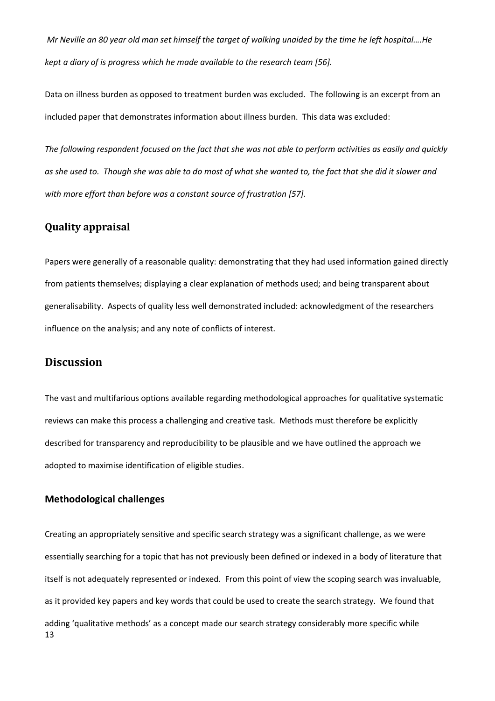*Mr Neville an 80 year old man set himself the target of walking unaided by the time he left hospital….He kept a diary of is progress which he made available to the research team [56].*

Data on illness burden as opposed to treatment burden was excluded. The following is an excerpt from an included paper that demonstrates information about illness burden. This data was excluded:

*The following respondent focused on the fact that she was not able to perform activities as easily and quickly as she used to. Though she was able to do most of what she wanted to, the fact that she did it slower and with more effort than before was a constant source of frustration [57].*

# **Quality appraisal**

Papers were generally of a reasonable quality: demonstrating that they had used information gained directly from patients themselves; displaying a clear explanation of methods used; and being transparent about generalisability. Aspects of quality less well demonstrated included: acknowledgment of the researchers influence on the analysis; and any note of conflicts of interest.

# **Discussion**

The vast and multifarious options available regarding methodological approaches for qualitative systematic reviews can make this process a challenging and creative task. Methods must therefore be explicitly described for transparency and reproducibility to be plausible and we have outlined the approach we adopted to maximise identification of eligible studies.

## **Methodological challenges**

13 Creating an appropriately sensitive and specific search strategy was a significant challenge, as we were essentially searching for a topic that has not previously been defined or indexed in a body of literature that itself is not adequately represented or indexed. From this point of view the scoping search was invaluable, as it provided key papers and key words that could be used to create the search strategy. We found that adding 'qualitative methods' as a concept made our search strategy considerably more specific while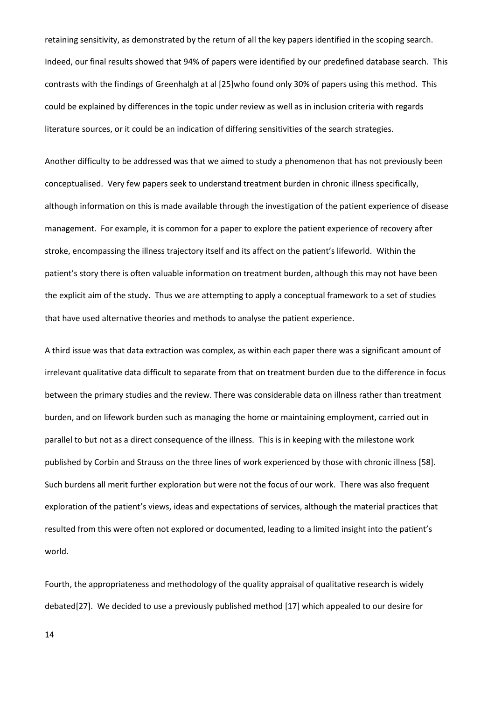retaining sensitivity, as demonstrated by the return of all the key papers identified in the scoping search. Indeed, our final results showed that 94% of papers were identified by our predefined database search. This contrasts with the findings of Greenhalgh at al [25]who found only 30% of papers using this method. This could be explained by differences in the topic under review as well as in inclusion criteria with regards literature sources, or it could be an indication of differing sensitivities of the search strategies.

Another difficulty to be addressed was that we aimed to study a phenomenon that has not previously been conceptualised. Very few papers seek to understand treatment burden in chronic illness specifically, although information on this is made available through the investigation of the patient experience of disease management. For example, it is common for a paper to explore the patient experience of recovery after stroke, encompassing the illness trajectory itself and its affect on the patient's lifeworld. Within the patient's story there is often valuable information on treatment burden, although this may not have been the explicit aim of the study. Thus we are attempting to apply a conceptual framework to a set of studies that have used alternative theories and methods to analyse the patient experience.

A third issue was that data extraction was complex, as within each paper there was a significant amount of irrelevant qualitative data difficult to separate from that on treatment burden due to the difference in focus between the primary studies and the review. There was considerable data on illness rather than treatment burden, and on lifework burden such as managing the home or maintaining employment, carried out in parallel to but not as a direct consequence of the illness. This is in keeping with the milestone work published by Corbin and Strauss on the three lines of work experienced by those with chronic illness [58]. Such burdens all merit further exploration but were not the focus of our work. There was also frequent exploration of the patient's views, ideas and expectations of services, although the material practices that resulted from this were often not explored or documented, leading to a limited insight into the patient's world.

Fourth, the appropriateness and methodology of the quality appraisal of qualitative research is widely debated[27]. We decided to use a previously published method [17] which appealed to our desire for

14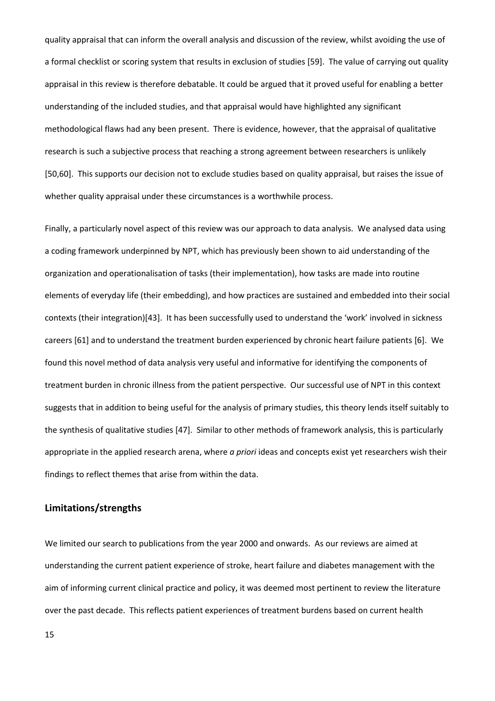quality appraisal that can inform the overall analysis and discussion of the review, whilst avoiding the use of a formal checklist or scoring system that results in exclusion of studies [59]. The value of carrying out quality appraisal in this review is therefore debatable. It could be argued that it proved useful for enabling a better understanding of the included studies, and that appraisal would have highlighted any significant methodological flaws had any been present. There is evidence, however, that the appraisal of qualitative research is such a subjective process that reaching a strong agreement between researchers is unlikely [50,60]. This supports our decision not to exclude studies based on quality appraisal, but raises the issue of whether quality appraisal under these circumstances is a worthwhile process.

Finally, a particularly novel aspect of this review was our approach to data analysis. We analysed data using a coding framework underpinned by NPT, which has previously been shown to aid understanding of the organization and operationalisation of tasks (their implementation), how tasks are made into routine elements of everyday life (their embedding), and how practices are sustained and embedded into their social contexts (their integration)[43]. It has been successfully used to understand the 'work' involved in sickness careers [61] and to understand the treatment burden experienced by chronic heart failure patients [6]. We found this novel method of data analysis very useful and informative for identifying the components of treatment burden in chronic illness from the patient perspective. Our successful use of NPT in this context suggests that in addition to being useful for the analysis of primary studies, this theory lends itself suitably to the synthesis of qualitative studies [47]. Similar to other methods of framework analysis, this is particularly appropriate in the applied research arena, where *a priori* ideas and concepts exist yet researchers wish their findings to reflect themes that arise from within the data.

#### **Limitations/strengths**

We limited our search to publications from the year 2000 and onwards. As our reviews are aimed at understanding the current patient experience of stroke, heart failure and diabetes management with the aim of informing current clinical practice and policy, it was deemed most pertinent to review the literature over the past decade. This reflects patient experiences of treatment burdens based on current health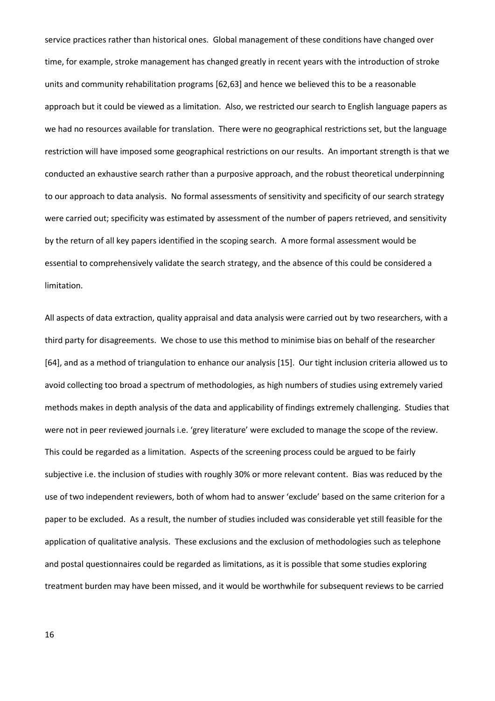service practices rather than historical ones. Global management of these conditions have changed over time, for example, stroke management has changed greatly in recent years with the introduction of stroke units and community rehabilitation programs [62,63] and hence we believed this to be a reasonable approach but it could be viewed as a limitation. Also, we restricted our search to English language papers as we had no resources available for translation. There were no geographical restrictions set, but the language restriction will have imposed some geographical restrictions on our results. An important strength is that we conducted an exhaustive search rather than a purposive approach, and the robust theoretical underpinning to our approach to data analysis. No formal assessments of sensitivity and specificity of our search strategy were carried out; specificity was estimated by assessment of the number of papers retrieved, and sensitivity by the return of all key papers identified in the scoping search. A more formal assessment would be essential to comprehensively validate the search strategy, and the absence of this could be considered a limitation.

All aspects of data extraction, quality appraisal and data analysis were carried out by two researchers, with a third party for disagreements. We chose to use this method to minimise bias on behalf of the researcher [64], and as a method of triangulation to enhance our analysis [15]. Our tight inclusion criteria allowed us to avoid collecting too broad a spectrum of methodologies, as high numbers of studies using extremely varied methods makes in depth analysis of the data and applicability of findings extremely challenging. Studies that were not in peer reviewed journals i.e. 'grey literature' were excluded to manage the scope of the review. This could be regarded as a limitation. Aspects of the screening process could be argued to be fairly subjective i.e. the inclusion of studies with roughly 30% or more relevant content. Bias was reduced by the use of two independent reviewers, both of whom had to answer 'exclude' based on the same criterion for a paper to be excluded. As a result, the number of studies included was considerable yet still feasible for the application of qualitative analysis. These exclusions and the exclusion of methodologies such as telephone and postal questionnaires could be regarded as limitations, as it is possible that some studies exploring treatment burden may have been missed, and it would be worthwhile for subsequent reviews to be carried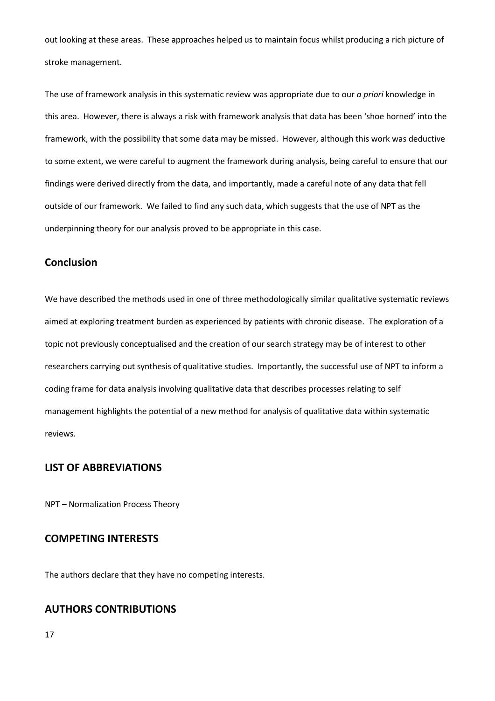out looking at these areas. These approaches helped us to maintain focus whilst producing a rich picture of stroke management.

The use of framework analysis in this systematic review was appropriate due to our *a priori* knowledge in this area. However, there is always a risk with framework analysis that data has been 'shoe horned' into the framework, with the possibility that some data may be missed. However, although this work was deductive to some extent, we were careful to augment the framework during analysis, being careful to ensure that our findings were derived directly from the data, and importantly, made a careful note of any data that fell outside of our framework. We failed to find any such data, which suggests that the use of NPT as the underpinning theory for our analysis proved to be appropriate in this case.

# **Conclusion**

We have described the methods used in one of three methodologically similar qualitative systematic reviews aimed at exploring treatment burden as experienced by patients with chronic disease. The exploration of a topic not previously conceptualised and the creation of our search strategy may be of interest to other researchers carrying out synthesis of qualitative studies. Importantly, the successful use of NPT to inform a coding frame for data analysis involving qualitative data that describes processes relating to self management highlights the potential of a new method for analysis of qualitative data within systematic reviews.

### **LIST OF ABBREVIATIONS**

NPT – Normalization Process Theory

## **COMPETING INTERESTS**

The authors declare that they have no competing interests.

### **AUTHORS CONTRIBUTIONS**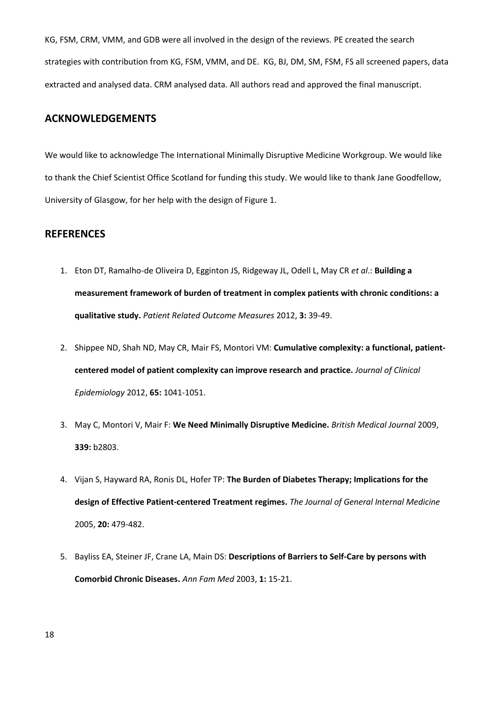KG, FSM, CRM, VMM, and GDB were all involved in the design of the reviews. PE created the search strategies with contribution from KG, FSM, VMM, and DE. KG, BJ, DM, SM, FSM, FS all screened papers, data extracted and analysed data. CRM analysed data. All authors read and approved the final manuscript.

# **ACKNOWLEDGEMENTS**

We would like to acknowledge The International Minimally Disruptive Medicine Workgroup. We would like to thank the Chief Scientist Office Scotland for funding this study. We would like to thank Jane Goodfellow, University of Glasgow, for her help with the design of Figure 1.

### **REFERENCES**

- 1. Eton DT, Ramalho-de Oliveira D, Egginton JS, Ridgeway JL, Odell L, May CR *et al*.: **Building a measurement framework of burden of treatment in complex patients with chronic conditions: a qualitative study.** *Patient Related Outcome Measures* 2012, **3:** 39-49.
- 2. Shippee ND, Shah ND, May CR, Mair FS, Montori VM: **Cumulative complexity: a functional, patientcentered model of patient complexity can improve research and practice.** *Journal of Clinical Epidemiology* 2012, **65:** 1041-1051.
- 3. May C, Montori V, Mair F: **We Need Minimally Disruptive Medicine.** *British Medical Journal* 2009, **339:** b2803.
- 4. Vijan S, Hayward RA, Ronis DL, Hofer TP: **The Burden of Diabetes Therapy; Implications for the design of Effective Patient-centered Treatment regimes.** *The Journal of General Internal Medicine* 2005, **20:** 479-482.
- 5. Bayliss EA, Steiner JF, Crane LA, Main DS: **Descriptions of Barriers to Self-Care by persons with Comorbid Chronic Diseases.** *Ann Fam Med* 2003, **1:** 15-21.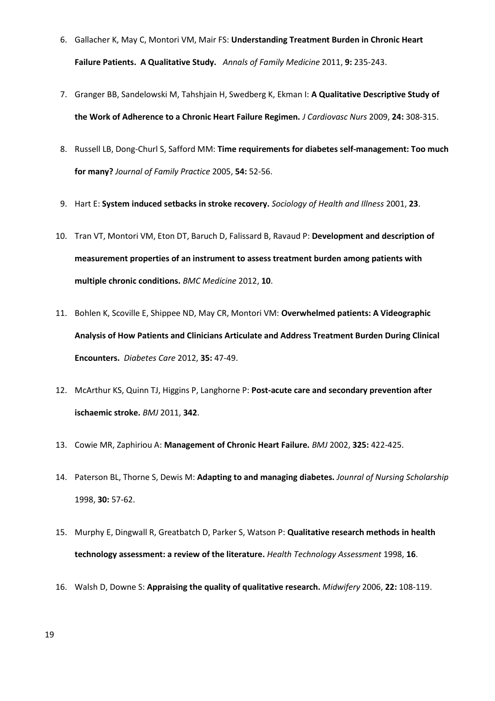- 6. Gallacher K, May C, Montori VM, Mair FS: **Understanding Treatment Burden in Chronic Heart Failure Patients. A Qualitative Study.** *Annals of Family Medicine* 2011, **9:** 235-243.
- 7. Granger BB, Sandelowski M, Tahshjain H, Swedberg K, Ekman I: **A Qualitative Descriptive Study of the Work of Adherence to a Chronic Heart Failure Regimen.** *J Cardiovasc Nurs* 2009, **24:** 308-315.
- 8. Russell LB, Dong-Churl S, Safford MM: **Time requirements for diabetes self-management: Too much for many?** *Journal of Family Practice* 2005, **54:** 52-56.
- 9. Hart E: **System induced setbacks in stroke recovery.** *Sociology of Health and Illness* 2001, **23**.
- 10. Tran VT, Montori VM, Eton DT, Baruch D, Falissard B, Ravaud P: **Development and description of measurement properties of an instrument to assess treatment burden among patients with multiple chronic conditions.** *BMC Medicine* 2012, **10**.
- 11. Bohlen K, Scoville E, Shippee ND, May CR, Montori VM: **Overwhelmed patients: A Videographic Analysis of How Patients and Clinicians Articulate and Address Treatment Burden During Clinical Encounters.** *Diabetes Care* 2012, **35:** 47-49.
- 12. McArthur KS, Quinn TJ, Higgins P, Langhorne P: **Post-acute care and secondary prevention after ischaemic stroke.** *BMJ* 2011, **342**.
- 13. Cowie MR, Zaphiriou A: **Management of Chronic Heart Failure.** *BMJ* 2002, **325:** 422-425.
- 14. Paterson BL, Thorne S, Dewis M: **Adapting to and managing diabetes.** *Jounral of Nursing Scholarship* 1998, **30:** 57-62.
- 15. Murphy E, Dingwall R, Greatbatch D, Parker S, Watson P: **Qualitative research methods in health technology assessment: a review of the literature.** *Health Technology Assessment* 1998, **16**.
- 16. Walsh D, Downe S: **Appraising the quality of qualitative research.** *Midwifery* 2006, **22:** 108-119.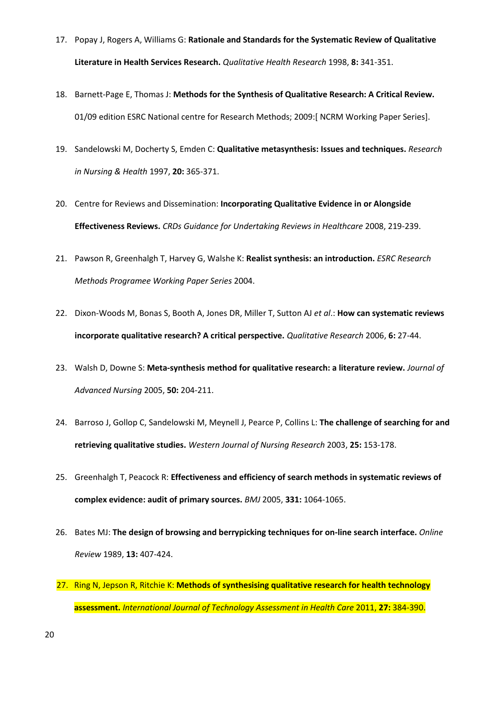- 17. Popay J, Rogers A, Williams G: **Rationale and Standards for the Systematic Review of Qualitative Literature in Health Services Research.** *Qualitative Health Research* 1998, **8:** 341-351.
- 18. Barnett-Page E, Thomas J: **Methods for the Synthesis of Qualitative Research: A Critical Review.** 01/09 edition ESRC National centre for Research Methods; 2009:[ NCRM Working Paper Series].
- 19. Sandelowski M, Docherty S, Emden C: **Qualitative metasynthesis: Issues and techniques.** *Research in Nursing & Health* 1997, **20:** 365-371.
- 20. Centre for Reviews and Dissemination: **Incorporating Qualitative Evidence in or Alongside Effectiveness Reviews.** *CRDs Guidance for Undertaking Reviews in Healthcare* 2008, 219-239.
- 21. Pawson R, Greenhalgh T, Harvey G, Walshe K: **Realist synthesis: an introduction.** *ESRC Research Methods Programee Working Paper Series* 2004.
- 22. Dixon-Woods M, Bonas S, Booth A, Jones DR, Miller T, Sutton AJ *et al*.: **How can systematic reviews incorporate qualitative research? A critical perspective.** *Qualitative Research* 2006, **6:** 27-44.
- 23. Walsh D, Downe S: **Meta-synthesis method for qualitative research: a literature review.** *Journal of Advanced Nursing* 2005, **50:** 204-211.
- 24. Barroso J, Gollop C, Sandelowski M, Meynell J, Pearce P, Collins L: **The challenge of searching for and retrieving qualitative studies.** *Western Journal of Nursing Research* 2003, **25:** 153-178.
- 25. Greenhalgh T, Peacock R: **Effectiveness and efficiency of search methods in systematic reviews of complex evidence: audit of primary sources.** *BMJ* 2005, **331:** 1064-1065.
- 26. Bates MJ: **The design of browsing and berrypicking techniques for on-line search interface.** *Online Review* 1989, **13:** 407-424.
- 27. Ring N, Jepson R, Ritchie K: **Methods of synthesising qualitative research for health technology assessment.** *International Journal of Technology Assessment in Health Care* 2011, **27:** 384-390.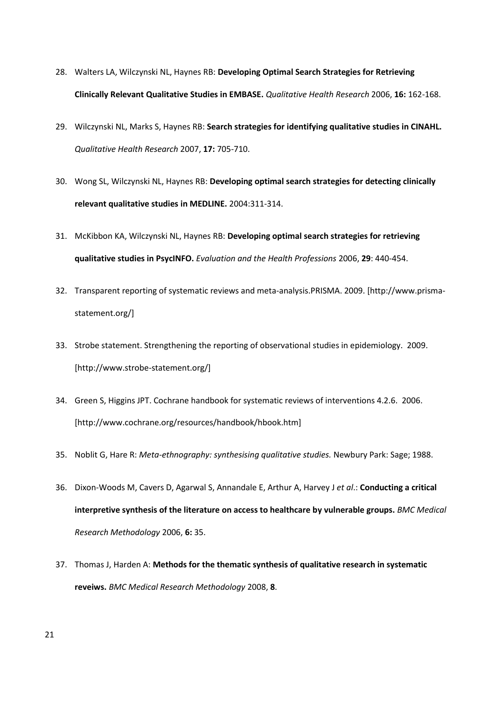- 28. Walters LA, Wilczynski NL, Haynes RB: **Developing Optimal Search Strategies for Retrieving Clinically Relevant Qualitative Studies in EMBASE.** *Qualitative Health Research* 2006, **16:** 162-168.
- 29. Wilczynski NL, Marks S, Haynes RB: **Search strategies for identifying qualitative studies in CINAHL.** *Qualitative Health Research* 2007, **17:** 705-710.
- 30. Wong SL, Wilczynski NL, Haynes RB: **Developing optimal search strategies for detecting clinically relevant qualitative studies in MEDLINE.** 2004:311-314.
- 31. McKibbon KA, Wilczynski NL, Haynes RB: **Developing optimal search strategies for retrieving qualitative studies in PsycINFO.** *Evaluation and the Health Professions* 2006, **29**: 440-454.
- 32. Transparent reporting of systematic reviews and meta-analysis.PRISMA. 2009. [http://www.prismastatement.org/]
- 33. Strobe statement. Strengthening the reporting of observational studies in epidemiology. 2009. [http://www.strobe-statement.org/]
- 34. Green S, Higgins JPT. Cochrane handbook for systematic reviews of interventions 4.2.6. 2006. [http://www.cochrane.org/resources/handbook/hbook.htm]
- 35. Noblit G, Hare R: *Meta-ethnography: synthesising qualitative studies.* Newbury Park: Sage; 1988.
- 36. Dixon-Woods M, Cavers D, Agarwal S, Annandale E, Arthur A, Harvey J *et al*.: **Conducting a critical interpretive synthesis of the literature on access to healthcare by vulnerable groups.** *BMC Medical Research Methodology* 2006, **6:** 35.
- 37. Thomas J, Harden A: **Methods for the thematic synthesis of qualitative research in systematic reveiws.** *BMC Medical Research Methodology* 2008, **8**.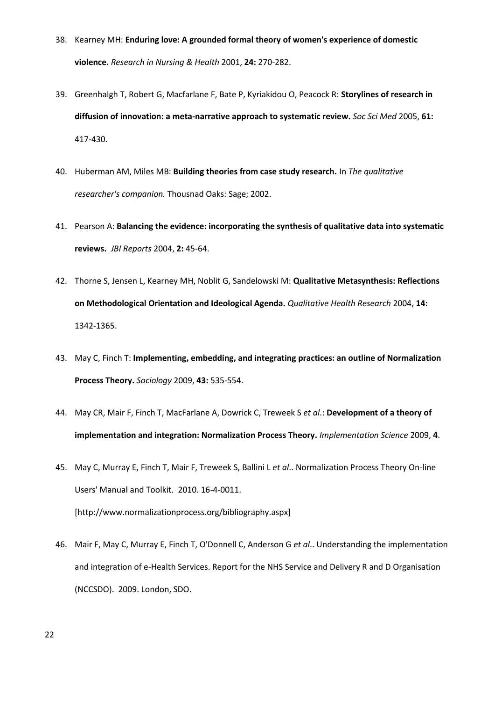- 38. Kearney MH: **Enduring love: A grounded formal theory of women's experience of domestic violence.** *Research in Nursing & Health* 2001, **24:** 270-282.
- 39. Greenhalgh T, Robert G, Macfarlane F, Bate P, Kyriakidou O, Peacock R: **Storylines of research in diffusion of innovation: a meta-narrative approach to systematic review.** *Soc Sci Med* 2005, **61:** 417-430.
- 40. Huberman AM, Miles MB: **Building theories from case study research.** In *The qualitative researcher's companion.* Thousnad Oaks: Sage; 2002.
- 41. Pearson A: **Balancing the evidence: incorporating the synthesis of qualitative data into systematic reviews.** *JBI Reports* 2004, **2:** 45-64.
- 42. Thorne S, Jensen L, Kearney MH, Noblit G, Sandelowski M: **Qualitative Metasynthesis: Reflections on Methodological Orientation and Ideological Agenda.** *Qualitative Health Research* 2004, **14:** 1342-1365.
- 43. May C, Finch T: **Implementing, embedding, and integrating practices: an outline of Normalization Process Theory.** *Sociology* 2009, **43:** 535-554.
- 44. May CR, Mair F, Finch T, MacFarlane A, Dowrick C, Treweek S *et al*.: **Development of a theory of implementation and integration: Normalization Process Theory.** *Implementation Science* 2009, **4**.
- 45. May C, Murray E, Finch T, Mair F, Treweek S, Ballini L *et al*.. Normalization Process Theory On-line Users' Manual and Toolkit. 2010. 16-4-0011. [http://www.normalizationprocess.org/bibliography.aspx]
- 46. Mair F, May C, Murray E, Finch T, O'Donnell C, Anderson G *et al*.. Understanding the implementation and integration of e-Health Services. Report for the NHS Service and Delivery R and D Organisation (NCCSDO). 2009. London, SDO.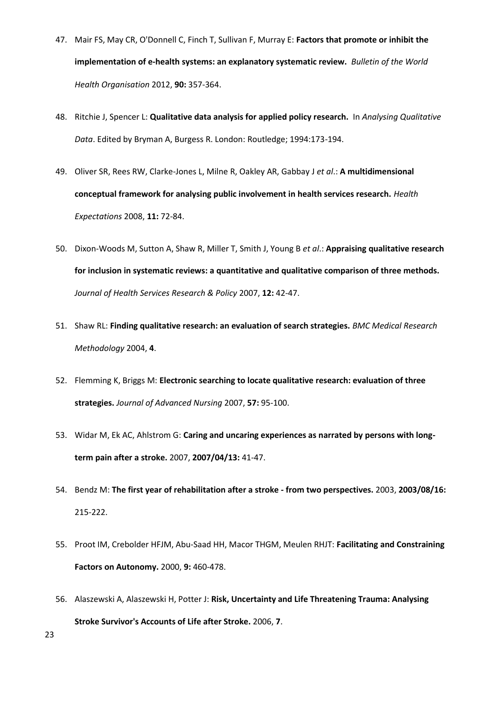- 47. Mair FS, May CR, O'Donnell C, Finch T, Sullivan F, Murray E: **Factors that promote or inhibit the implementation of e-health systems: an explanatory systematic review.** *Bulletin of the World Health Organisation* 2012, **90:** 357-364.
- 48. Ritchie J, Spencer L: **Qualitative data analysis for applied policy research.** In *Analysing Qualitative Data*. Edited by Bryman A, Burgess R. London: Routledge; 1994:173-194.
- 49. Oliver SR, Rees RW, Clarke-Jones L, Milne R, Oakley AR, Gabbay J *et al*.: **A multidimensional conceptual framework for analysing public involvement in health services research.** *Health Expectations* 2008, **11:** 72-84.
- 50. Dixon-Woods M, Sutton A, Shaw R, Miller T, Smith J, Young B *et al*.: **Appraising qualitative research for inclusion in systematic reviews: a quantitative and qualitative comparison of three methods.** *Journal of Health Services Research & Policy* 2007, **12:** 42-47.
- 51. Shaw RL: **Finding qualitative research: an evaluation of search strategies.** *BMC Medical Research Methodology* 2004, **4**.
- 52. Flemming K, Briggs M: **Electronic searching to locate qualitative research: evaluation of three strategies.** *Journal of Advanced Nursing* 2007, **57:** 95-100.
- 53. Widar M, Ek AC, Ahlstrom G: **Caring and uncaring experiences as narrated by persons with longterm pain after a stroke.** 2007, **2007/04/13:** 41-47.
- 54. Bendz M: **The first year of rehabilitation after a stroke - from two perspectives.** 2003, **2003/08/16:** 215-222.
- 55. Proot IM, Crebolder HFJM, Abu-Saad HH, Macor THGM, Meulen RHJT: **Facilitating and Constraining Factors on Autonomy.** 2000, **9:** 460-478.
- 56. Alaszewski A, Alaszewski H, Potter J: **Risk, Uncertainty and Life Threatening Trauma: Analysing Stroke Survivor's Accounts of Life after Stroke.** 2006, **7**.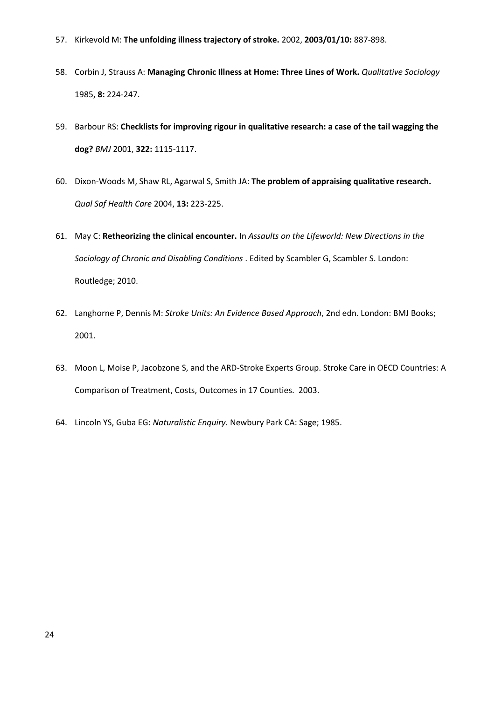- 57. Kirkevold M: **The unfolding illness trajectory of stroke.** 2002, **2003/01/10:** 887-898.
- 58. Corbin J, Strauss A: **Managing Chronic Illness at Home: Three Lines of Work.** *Qualitative Sociology* 1985, **8:** 224-247.
- 59. Barbour RS: **Checklists for improving rigour in qualitative research: a case of the tail wagging the dog?** *BMJ* 2001, **322:** 1115-1117.
- 60. Dixon-Woods M, Shaw RL, Agarwal S, Smith JA: **The problem of appraising qualitative research.** *Qual Saf Health Care* 2004, **13:** 223-225.
- 61. May C: **Retheorizing the clinical encounter.** In *Assaults on the Lifeworld: New Directions in the Sociology of Chronic and Disabling Conditions* . Edited by Scambler G, Scambler S. London: Routledge; 2010.
- 62. Langhorne P, Dennis M: *Stroke Units: An Evidence Based Approach*, 2nd edn. London: BMJ Books; 2001.
- 63. Moon L, Moise P, Jacobzone S, and the ARD-Stroke Experts Group. Stroke Care in OECD Countries: A Comparison of Treatment, Costs, Outcomes in 17 Counties. 2003.
- 64. Lincoln YS, Guba EG: *Naturalistic Enquiry*. Newbury Park CA: Sage; 1985.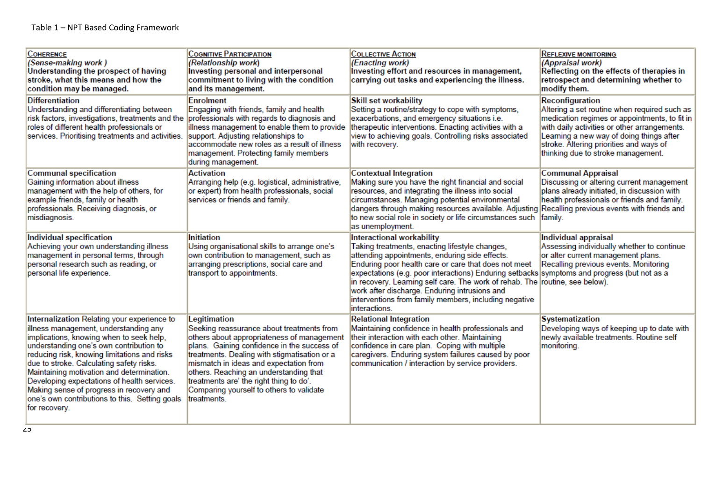| <b>COHERENCE</b><br>(Sense-making work)<br>Understanding the prospect of having<br>stroke, what this means and how the<br>condition may be managed.                                                                                                                                                                                                                                                                                                                                | <b>COGNITIVE PARTICIPATION</b><br>(Relationship work)<br>Investing personal and interpersonal<br>commitment to living with the condition<br>and its management.                                                                                                                                                                                                                                  | <b>COLLECTIVE ACTION</b><br>(Enacting work)<br>Investing effort and resources in management,<br>carrying out tasks and experiencing the illness.                                                                                                                                                                                                                                                                                                                                                       | <b>REFLEXIVE MONITORING</b><br>(Appraisal work)<br>Reflecting on the effects of therapies in<br>retrospect and determining whether to<br>modify them.                                                                                                                                         |
|------------------------------------------------------------------------------------------------------------------------------------------------------------------------------------------------------------------------------------------------------------------------------------------------------------------------------------------------------------------------------------------------------------------------------------------------------------------------------------|--------------------------------------------------------------------------------------------------------------------------------------------------------------------------------------------------------------------------------------------------------------------------------------------------------------------------------------------------------------------------------------------------|--------------------------------------------------------------------------------------------------------------------------------------------------------------------------------------------------------------------------------------------------------------------------------------------------------------------------------------------------------------------------------------------------------------------------------------------------------------------------------------------------------|-----------------------------------------------------------------------------------------------------------------------------------------------------------------------------------------------------------------------------------------------------------------------------------------------|
| <b>Differentiation</b><br>Understanding and differentiating between<br>risk factors, investigations, treatments and the professionals with regards to diagnosis and<br>roles of different health professionals or<br>services. Prioritising treatments and activities.                                                                                                                                                                                                             | <b>Enrolment</b><br>Engaging with friends, family and health<br>illness management to enable them to provide<br>support. Adjusting relationships to<br>accommodate new roles as a result of illness<br>management. Protecting family members<br>during management.                                                                                                                               | <b>Skill set workability</b><br>Setting a routine/strategy to cope with symptoms,<br>exacerbations, and emergency situations i.e.<br>therapeutic interventions. Enacting activities with a<br>view to achieving goals. Controlling risks associated<br>with recovery.                                                                                                                                                                                                                                  | Reconfiguration<br>Altering a set routine when required such as<br>medication regimes or appointments, to fit in<br>with daily activities or other arrangements.<br>Learning a new way of doing things after<br>stroke. Altering priorities and ways of<br>thinking due to stroke management. |
| <b>Communal specification</b><br>Gaining information about illness<br>management with the help of others, for<br>example friends, family or health<br>professionals. Receiving diagnosis, or<br>misdiagnosis.                                                                                                                                                                                                                                                                      | <b>Activation</b><br>Arranging help (e.g. logistical, administrative,<br>or expert) from health professionals, social<br>services or friends and family.                                                                                                                                                                                                                                         | <b>Contextual Integration</b><br>Making sure you have the right financial and social<br>resources, and integrating the illness into social<br>circumstances. Managing potential environmental<br>dangers through making resources available. Adjusting Recalling previous events with friends and<br>to new social role in society or life circumstances such family.<br>as unemployment.                                                                                                              | <b>Communal Appraisal</b><br>Discussing or altering current management<br>plans already initiated, in discussion with<br>health professionals or friends and family.                                                                                                                          |
| Individual specification<br>Achieving your own understanding illness<br>management in personal terms, through<br>personal research such as reading, or<br>personal life experience.                                                                                                                                                                                                                                                                                                | <b>Initiation</b><br>Using organisational skills to arrange one's<br>own contribution to management, such as<br>arranging prescriptions, social care and<br>transport to appointments.                                                                                                                                                                                                           | <b>Interactional workability</b><br>Taking treatments, enacting lifestyle changes,<br>attending appointments, enduring side effects.<br>Enduring poor health care or care that does not meet<br>expectations (e.g. poor interactions) Enduring setbacks symptoms and progress (but not as a<br>in recovery. Learning self care. The work of rehab. The routine, see below).<br>work after discharge. Enduring intrusions and<br>interventions from family members, including negative<br>interactions. | <b>Individual appraisal</b><br>Assessing individually whether to continue<br>or alter current management plans.<br>Recalling previous events. Monitoring                                                                                                                                      |
| Internalization Relating your experience to<br>illness management, understanding any<br>implications, knowing when to seek help,<br>understanding one's own contribution to<br>reducing risk, knowing limitations and risks<br>due to stroke. Calculating safety risks.<br>Maintaining motivation and determination.<br>Developing expectations of health services.<br>Making sense of progress in recovery and<br>one's own contributions to this. Setting goals<br>for recovery. | Legitimation<br>Seeking reassurance about treatments from<br>others about appropriateness of management<br>plans. Gaining confidence in the success of<br>treatments. Dealing with stigmatisation or a<br>mismatch in ideas and expectation from<br>others. Reaching an understanding that<br>treatments are' the right thing to do'.<br>Comparing yourself to others to validate<br>treatments. | <b>Relational Integration</b><br>Maintaining confidence in health professionals and<br>their interaction with each other. Maintaining<br>confidence in care plan. Coping with multiple<br>caregivers. Enduring system failures caused by poor<br>communication / interaction by service providers.                                                                                                                                                                                                     | Systematization<br>Developing ways of keeping up to date with<br>newly available treatments. Routine self<br>monitoring.                                                                                                                                                                      |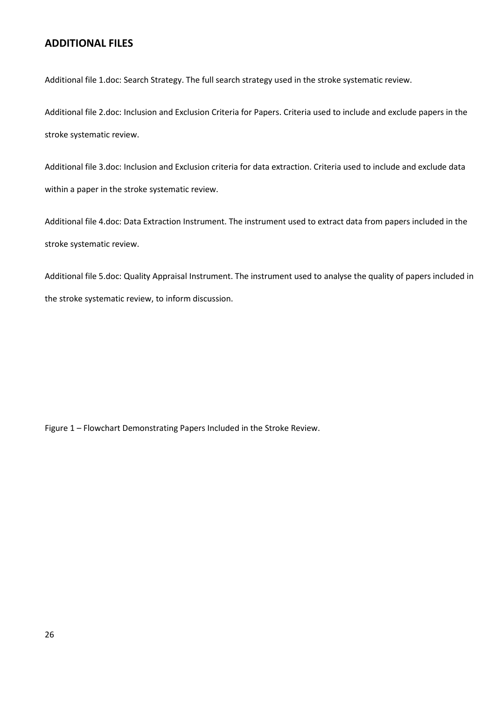# **ADDITIONAL FILES**

Additional file 1.doc: Search Strategy. The full search strategy used in the stroke systematic review.

Additional file 2.doc: Inclusion and Exclusion Criteria for Papers. Criteria used to include and exclude papers in the stroke systematic review.

Additional file 3.doc: Inclusion and Exclusion criteria for data extraction. Criteria used to include and exclude data within a paper in the stroke systematic review.

Additional file 4.doc: Data Extraction Instrument. The instrument used to extract data from papers included in the stroke systematic review.

Additional file 5.doc: Quality Appraisal Instrument. The instrument used to analyse the quality of papers included in the stroke systematic review, to inform discussion.

Figure 1 – Flowchart Demonstrating Papers Included in the Stroke Review.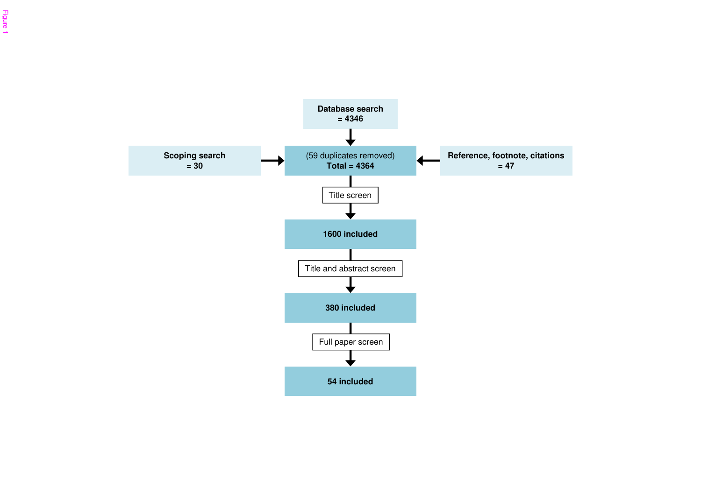